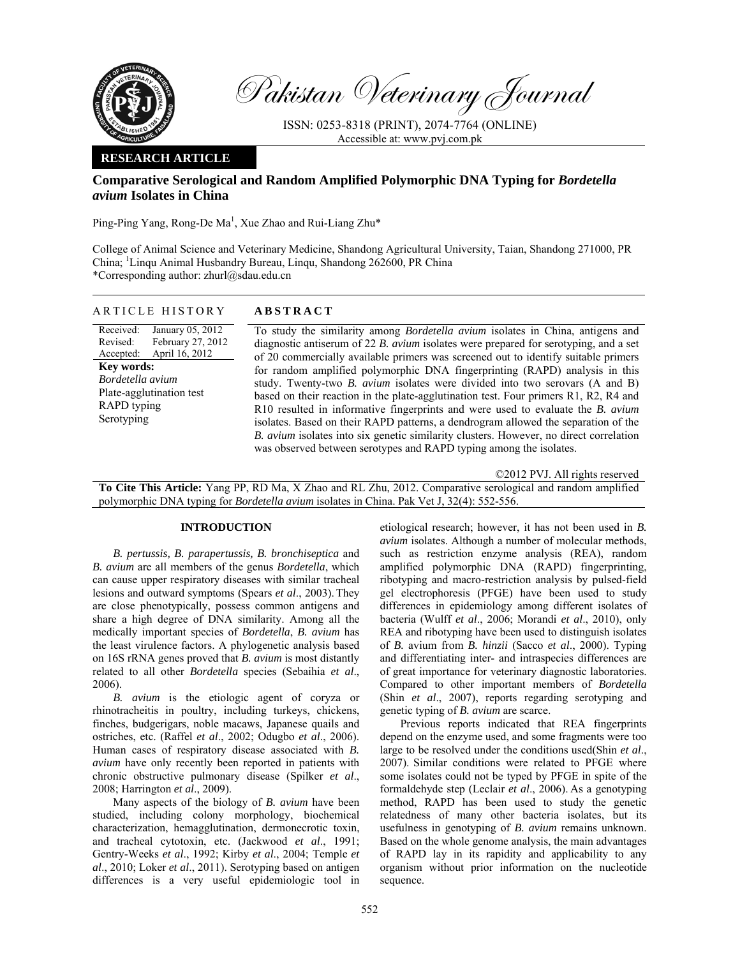

Pakistan Veterinary Journal

ISSN: 0253-8318 (PRINT), 2074-7764 (ONLINE) Accessible at: www.pvj.com.pk

# **RESEARCH ARTICLE**

# **Comparative Serological and Random Amplified Polymorphic DNA Typing for** *Bordetella avium* **Isolates in China**

Ping-Ping Yang, Rong-De Ma<sup>1</sup>, Xue Zhao and Rui-Liang Zhu\*

College of Animal Science and Veterinary Medicine, Shandong Agricultural University, Taian, Shandong 271000, PR China; <sup>1</sup>Linqu Animal Husbandry Bureau, Linqu, Shandong 262600, PR China \*Corresponding author: zhurl@sdau.edu.cn

## ARTICLE HISTORY **ABSTRACT**

Received: Revised: Accepted: January 05, 2012 February 27, 2012 April 16, 2012 **Key words:**  *Bordetella avium* Plate-agglutination test RAPD typing

Serotyping

To study the similarity among *Bordetella avium* isolates in China, antigens and diagnostic antiserum of 22 *B. avium* isolates were prepared for serotyping, and a set of 20 commercially available primers was screened out to identify suitable primers for random amplified polymorphic DNA fingerprinting (RAPD) analysis in this study. Twenty-two *B. avium* isolates were divided into two serovars (A and B) based on their reaction in the plate-agglutination test. Four primers R1, R2, R4 and R10 resulted in informative fingerprints and were used to evaluate the *B. avium* isolates. Based on their RAPD patterns, a dendrogram allowed the separation of the *B. avium* isolates into six genetic similarity clusters. However, no direct correlation was observed between serotypes and RAPD typing among the isolates.

©2012 PVJ. All rights reserved

**To Cite This Article:** Yang PP, RD Ma, X Zhao and RL Zhu, 2012. Comparative serological and random amplified polymorphic DNA typing for *Bordetella avium* isolates in China. Pak Vet J, 32(4): 552-556.

### **INTRODUCTION**

*B. pertussis, B. parapertussis, B. bronchiseptica* and *B. avium* are all members of the genus *Bordetella*, which can cause upper respiratory diseases with similar tracheal lesions and outward symptoms (Spears *et al*., 2003). They are close phenotypically, possess common antigens and share a high degree of DNA similarity. Among all the medically important species of *Bordetella*, *B. avium* has the least virulence factors. A phylogenetic analysis based on 16S rRNA genes proved that *B. avium* is most distantly related to all other *Bordetella* species (Sebaihia *et al*., 2006).

*B. avium* is the etiologic agent of coryza or rhinotracheitis in poultry, including turkeys, chickens, finches, budgerigars, noble macaws, Japanese quails and ostriches, etc. (Raffel *et al*., 2002; Odugbo *et al*., 2006). Human cases of respiratory disease associated with *B. avium* have only recently been reported in patients with chronic obstructive pulmonary disease (Spilker *et al*., 2008; Harrington *et al*., 2009).

Many aspects of the biology of *B. avium* have been studied, including colony morphology, biochemical characterization, hemagglutination, dermonecrotic toxin, and tracheal cytotoxin, etc. (Jackwood *et al*., 1991; Gentry-Weeks *et al*., 1992; Kirby *et al*., 2004; Temple *et al*., 2010; Loker *et al*., 2011). Serotyping based on antigen differences is a very useful epidemiologic tool in

etiological research; however, it has not been used in *B. avium* isolates. Although a number of molecular methods, such as restriction enzyme analysis (REA), random amplified polymorphic DNA (RAPD) fingerprinting, ribotyping and macro-restriction analysis by pulsed-field gel electrophoresis (PFGE) have been used to study differences in epidemiology among different isolates of bacteria (Wulff *et al*., 2006; Morandi *et al*., 2010), only REA and ribotyping have been used to distinguish isolates of *B.* avium from *B. hinzii* (Sacco *et al*., 2000). Typing and differentiating inter- and intraspecies differences are of great importance for veterinary diagnostic laboratories. Compared to other important members of *Bordetella* (Shin *et al*., 2007), reports regarding serotyping and genetic typing of *B. avium* are scarce.

Previous reports indicated that REA fingerprints depend on the enzyme used, and some fragments were too large to be resolved under the conditions used(Shin *et al*., 2007). Similar conditions were related to PFGE where some isolates could not be typed by PFGE in spite of the formaldehyde step (Leclair *et al*., 2006). As a genotyping method, RAPD has been used to study the genetic relatedness of many other bacteria isolates, but its usefulness in genotyping of *B. avium* remains unknown. Based on the whole genome analysis, the main advantages of RAPD lay in its rapidity and applicability to any organism without prior information on the nucleotide sequence.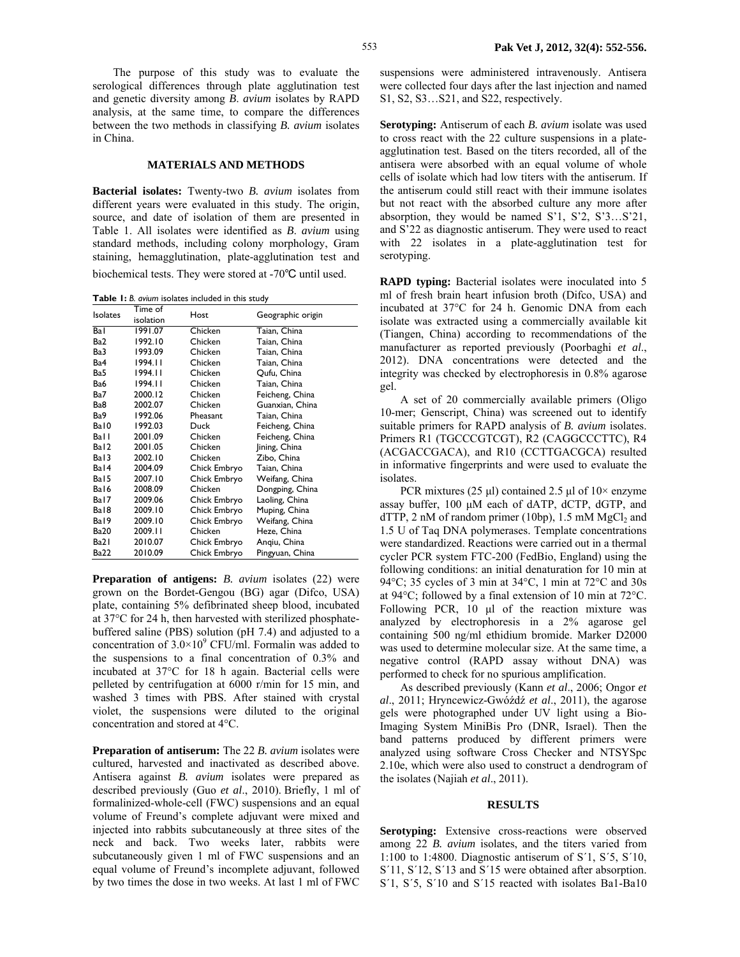The purpose of this study was to evaluate the serological differences through plate agglutination test and genetic diversity among *B*. *avium* isolates by RAPD analysis, at the same time, to compare the differences between the two methods in classifying *B. avium* isolates in China.

#### **MATERIALS AND METHODS**

**Bacterial isolates:** Twenty-two *B. avium* isolates from different years were evaluated in this study. The origin, source, and date of isolation of them are presented in Table 1. All isolates were identified as *B*. *avium* using standard methods, including colony morphology, Gram staining, hemagglutination, plate-agglutination test and biochemical tests. They were stored at -70℃ until used.

**Table 1:** *B. avium* isolates included in this study

| <b>Isolates</b>  | Time of<br>isolation | Host         | Geographic origin |
|------------------|----------------------|--------------|-------------------|
| Ba l             | 1991.07              | Chicken      | Taian, China      |
| Ba2              | 1992.10              | Chicken      | Taian, China      |
| Ba3              | 1993.09              | Chicken      | Taian, China      |
| Ba4              | 1994.11              | Chicken      | Taian, China      |
| Ba5              | 1994.11              | Chicken      | Qufu, China       |
| Ba6              | 1994.11              | Chicken      | Taian, China      |
| Ba7              | 2000.12              | Chicken      | Feicheng, China   |
| Ba8              | 2002.07              | Chicken      | Guanxian, China   |
| Ba9              | 1992.06              | Pheasant     | Taian, China      |
| Bal0             | 1992.03              | Duck         | Feicheng, China   |
| Ball             | 2001.09              | Chicken      | Feicheng, China   |
| Ba <sub>12</sub> | 2001.05              | Chicken      | Jining, China     |
| Ba <sub>13</sub> | 2002.10              | Chicken      | Zibo, China       |
| Ba <sub>14</sub> | 2004.09              | Chick Embryo | Taian, China      |
| Ba <sub>15</sub> | 2007.10              | Chick Embryo | Weifang, China    |
| Ba <sub>16</sub> | 2008.09              | Chicken      | Dongping, China   |
| Bal7             | 2009.06              | Chick Embryo | Laoling, China    |
| Bal <sub>8</sub> | 2009.10              | Chick Embryo | Muping, China     |
| Bal9             | 2009.10              | Chick Embryo | Weifang, China    |
| <b>Ba20</b>      | 2009.11              | Chicken      | Heze, China       |
| Ba21             | 2010.07              | Chick Embryo | Angiu, China      |
| <b>Ba22</b>      | 2010.09              | Chick Embryo | Pingyuan, China   |

**Preparation of antigens:** *B. avium* isolates (22) were grown on the Bordet-Gengou (BG) agar (Difco, USA) plate, containing 5% defibrinated sheep blood, incubated at 37°C for 24 h, then harvested with sterilized phosphatebuffered saline (PBS) solution (pH 7.4) and adjusted to a concentration of  $3.0 \times 10^9$  CFU/ml. Formalin was added to the suspensions to a final concentration of 0.3% and incubated at 37°C for 18 h again. Bacterial cells were pelleted by centrifugation at 6000 r/min for 15 min, and washed 3 times with PBS. After stained with crystal violet, the suspensions were diluted to the original concentration and stored at 4°C.

**Preparation of antiserum:** The 22 *B. avium* isolates were cultured, harvested and inactivated as described above. Antisera against *B. avium* isolates were prepared as described previously (Guo *et al*., 2010). Briefly, 1 ml of formalinized-whole-cell (FWC) suspensions and an equal volume of Freund's complete adjuvant were mixed and injected into rabbits subcutaneously at three sites of the neck and back. Two weeks later, rabbits were subcutaneously given 1 ml of FWC suspensions and an equal volume of Freund's incomplete adjuvant, followed by two times the dose in two weeks. At last 1 ml of FWC

suspensions were administered intravenously. Antisera were collected four days after the last injection and named S1, S2, S3…S21, and S22, respectively.

**Serotyping:** Antiserum of each *B. avium* isolate was used to cross react with the 22 culture suspensions in a plateagglutination test. Based on the titers recorded, all of the antisera were absorbed with an equal volume of whole cells of isolate which had low titers with the antiserum. If the antiserum could still react with their immune isolates but not react with the absorbed culture any more after absorption, they would be named S'1, S'2, S'3…S'21, and S'22 as diagnostic antiserum. They were used to react with 22 isolates in a plate-agglutination test for serotyping.

**RAPD typing:** Bacterial isolates were inoculated into 5 ml of fresh brain heart infusion broth (Difco, USA) and incubated at 37°C for 24 h. Genomic DNA from each isolate was extracted using a commercially available kit (Tiangen, China) according to recommendations of the manufacturer as reported previously (Poorbaghi *et al*., 2012). DNA concentrations were detected and the integrity was checked by electrophoresis in 0.8% agarose gel.

A set of 20 commercially available primers (Oligo 10-mer; Genscript, China) was screened out to identify suitable primers for RAPD analysis of *B. avium* isolates. Primers R1 (TGCCCGTCGT), R2 (CAGGCCCTTC), R4 (ACGACCGACA), and R10 (CCTTGACGCA) resulted in informative fingerprints and were used to evaluate the isolates.

PCR mixtures (25  $\mu$ l) contained 2.5  $\mu$ l of 10× enzyme assay buffer, 100 µM each of dATP, dCTP, dGTP, and  $dTTP$ , 2 nM of random primer (10bp), 1.5 mM MgCl<sub>2</sub> and 1.5 U of Taq DNA polymerases. Template concentrations were standardized. Reactions were carried out in a thermal cycler PCR system FTC-200 (FedBio, England) using the following conditions: an initial denaturation for 10 min at 94°C; 35 cycles of 3 min at 34°C, 1 min at 72°C and 30s at 94°C; followed by a final extension of 10 min at 72°C. Following PCR, 10 µl of the reaction mixture was analyzed by electrophoresis in a 2% agarose gel containing 500 ng/ml ethidium bromide. Marker D2000 was used to determine molecular size. At the same time, a negative control (RAPD assay without DNA) was performed to check for no spurious amplification.

As described previously (Kann *et al*., 2006; Ongor *et al*., 2011; Hryncewicz-Gwóźdź *et al*., 2011), the agarose gels were photographed under UV light using a Bio-Imaging System MiniBis Pro (DNR, Israel). Then the band patterns produced by different primers were analyzed using software Cross Checker and NTSYSpc 2.10e, which were also used to construct a dendrogram of the isolates (Najiah *et al*., 2011).

#### **RESULTS**

**Serotyping:** Extensive cross-reactions were observed among 22 *B. avium* isolates, and the titers varied from 1:100 to 1:4800. Diagnostic antiserum of S´1, S´5, S´10, S'11, S'12, S'13 and S'15 were obtained after absorption. S´1, S´5, S´10 and S´15 reacted with isolates Ba1-Ba10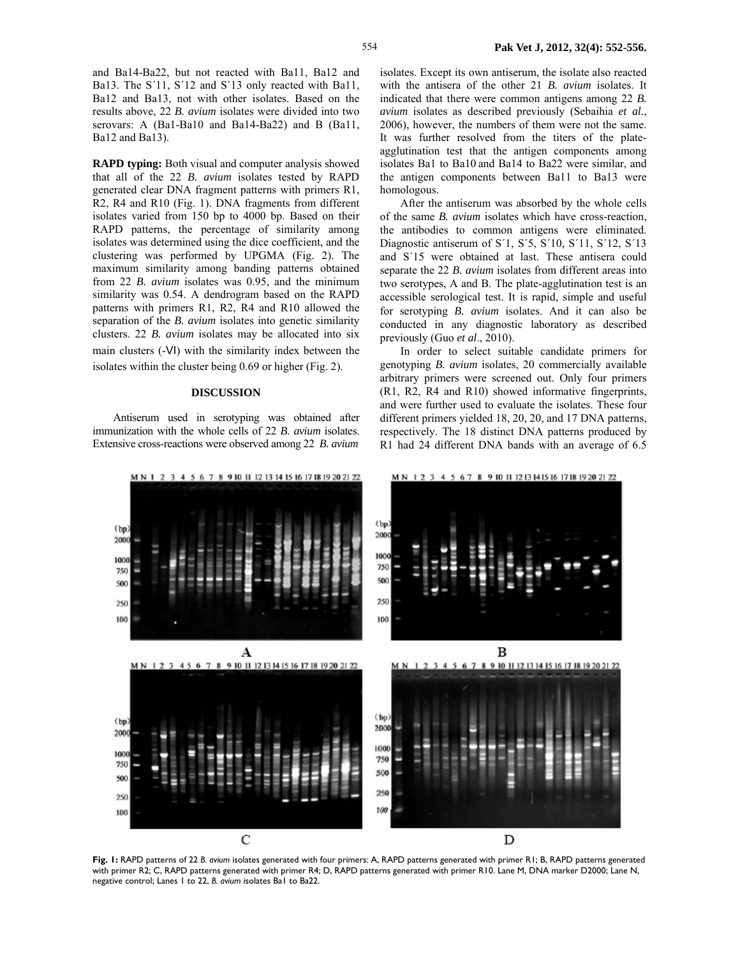and Ba14-Ba22, but not reacted with Ba11, Ba12 and Ba13. The S'11, S'12 and S'13 only reacted with Ba11, Ba12 and Ba13, not with other isolates. Based on the results above, 22 *B. avium* isolates were divided into two serovars: A (Ba1-Ba10 and Ba14-Ba22) and B (Ba11, Ba12 and Ba13).

**RAPD typing:** Both visual and computer analysis showed that all of the 22 *B. avium* isolates tested by RAPD generated clear DNA fragment patterns with primers R1, R2, R4 and R10 (Fig. 1). DNA fragments from different isolates varied from 150 bp to 4000 bp. Based on their RAPD patterns, the percentage of similarity among isolates was determined using the dice coefficient, and the clustering was performed by UPGMA (Fig. 2). The maximum similarity among banding patterns obtained from 22 *B. avium* isolates was 0.95, and the minimum similarity was 0.54. A dendrogram based on the RAPD patterns with primers R1, R2, R4 and R10 allowed the separation of the *B. avium* isolates into genetic similarity clusters. 22 *B. avium* isolates may be allocated into six main clusters (-Ⅵ) with the similarity index between the isolates within the cluster being 0.69 or higher (Fig. 2).

# **DISCUSSION**

Antiserum used in serotyping was obtained after immunization with the whole cells of 22 *B*. *avium* isolates. Extensive cross-reactions were observed among 22 *B. avium* 

isolates. Except its own antiserum, the isolate also reacted with the antisera of the other 21 *B. avium* isolates. It indicated that there were common antigens among 22 *B. avium* isolates as described previously (Sebaihia *et al.*, 2006), however, the numbers of them were not the same. It was further resolved from the titers of the plateagglutination test that the antigen components among isolates Ba1 to Ba10 and Ba14 to Ba22 were similar, and the antigen components between Ba11 to Ba13 were homologous.

After the antiserum was absorbed by the whole cells of the same *B. avium* isolates which have cross-reaction, the antibodies to common antigens were eliminated. Diagnostic antiserum of S´1, S´5, S´10, S´11, S´12, S´13 and S´15 were obtained at last. These antisera could separate the 22 *B. avium* isolates from different areas into two serotypes, A and B. The plate-agglutination test is an accessible serological test. It is rapid, simple and useful for serotyping *B. avium* isolates. And it can also be conducted in any diagnostic laboratory as described previously (Guo *et al*., 2010).

In order to select suitable candidate primers for genotyping *B. avium* isolates, 20 commercially available arbitrary primers were screened out. Only four primers (R1, R2, R4 and R10) showed informative fingerprints, and were further used to evaluate the isolates. These four different primers yielded 18, 20, 20, and 17 DNA patterns, respectively. The 18 distinct DNA patterns produced by R1 had 24 different DNA bands with an average of 6.5



**Fig. 1:** RAPD patterns of 22 *B. avium* isolates generated with four primers: A, RAPD patterns generated with primer R1; B, RAPD patterns generated with primer R2; C, RAPD patterns generated with primer R4; D, RAPD patterns generated with primer R10. Lane M, DNA marker D2000; Lane N, negative control; Lanes 1 to 22, *B. avium* isolates Ba1 to Ba22.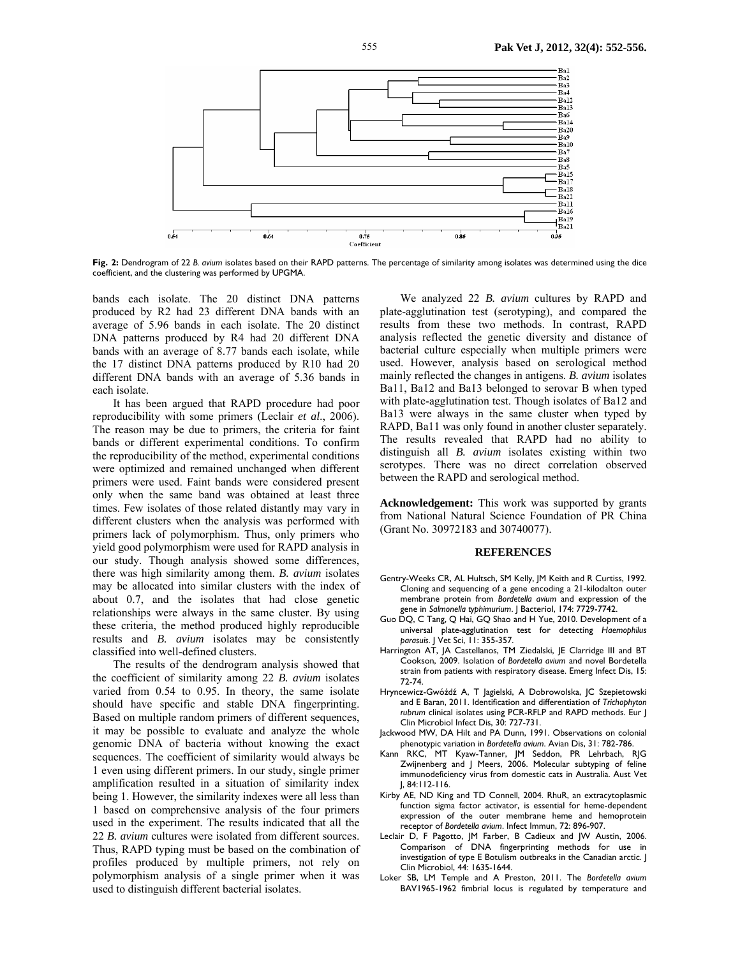

**Fig. 2:** Dendrogram of 22 *B. avium* isolates based on their RAPD patterns. The percentage of similarity among isolates was determined using the dice coefficient, and the clustering was performed by UPGMA.

bands each isolate. The 20 distinct DNA patterns produced by R2 had 23 different DNA bands with an average of 5.96 bands in each isolate. The 20 distinct DNA patterns produced by R4 had 20 different DNA bands with an average of 8.77 bands each isolate, while the 17 distinct DNA patterns produced by R10 had 20 different DNA bands with an average of 5.36 bands in each isolate.

It has been argued that RAPD procedure had poor reproducibility with some primers (Leclair *et al*., 2006). The reason may be due to primers, the criteria for faint bands or different experimental conditions. To confirm the reproducibility of the method, experimental conditions were optimized and remained unchanged when different primers were used. Faint bands were considered present only when the same band was obtained at least three times. Few isolates of those related distantly may vary in different clusters when the analysis was performed with primers lack of polymorphism. Thus, only primers who yield good polymorphism were used for RAPD analysis in our study. Though analysis showed some differences, there was high similarity among them. *B. avium* isolates may be allocated into similar clusters with the index of about 0.7, and the isolates that had close genetic relationships were always in the same cluster. By using these criteria, the method produced highly reproducible results and *B. avium* isolates may be consistently classified into well-defined clusters.

The results of the dendrogram analysis showed that the coefficient of similarity among 22 *B. avium* isolates varied from 0.54 to 0.95. In theory, the same isolate should have specific and stable DNA fingerprinting. Based on multiple random primers of different sequences, it may be possible to evaluate and analyze the whole genomic DNA of bacteria without knowing the exact sequences. The coefficient of similarity would always be 1 even using different primers. In our study, single primer amplification resulted in a situation of similarity index being 1. However, the similarity indexes were all less than 1 based on comprehensive analysis of the four primers used in the experiment. The results indicated that all the 22 *B. avium* cultures were isolated from different sources. Thus, RAPD typing must be based on the combination of profiles produced by multiple primers, not rely on polymorphism analysis of a single primer when it was used to distinguish different bacterial isolates.

We analyzed 22 *B. avium* cultures by RAPD and plate-agglutination test (serotyping), and compared the results from these two methods. In contrast, RAPD analysis reflected the genetic diversity and distance of bacterial culture especially when multiple primers were used. However, analysis based on serological method mainly reflected the changes in antigens. *B. avium* isolates Ba11, Ba12 and Ba13 belonged to serovar B when typed with plate-agglutination test. Though isolates of Ba12 and Ba13 were always in the same cluster when typed by RAPD, Ba11 was only found in another cluster separately. The results revealed that RAPD had no ability to distinguish all *B. avium* isolates existing within two serotypes. There was no direct correlation observed between the RAPD and serological method.

**Acknowledgement:** This work was supported by grants from National Natural Science Foundation of PR China (Grant No. 30972183 and 30740077).

#### **REFERENCES**

- Gentry-Weeks CR, AL Hultsch, SM Kelly, JM Keith and R Curtiss, 1992. Cloning and sequencing of a gene encoding a 21-kilodalton outer membrane protein from *Bordetella avium* and expression of the gene in *Salmonella typhimurium*. J Bacteriol, 174: 7729-7742.
- Guo DQ, C Tang, Q Hai, GQ Shao and H Yue, 2010. Development of a universal plate-agglutination test for detecting *Haemophilus parasuis*. J Vet Sci, 11: 355-357.
- Harrington AT, JA Castellanos, TM Ziedalski, JE Clarridge III and BT Cookson, 2009. Isolation of *Bordetella avium* and novel Bordetella strain from patients with respiratory disease. Emerg Infect Dis, 15: 72-74.
- Hryncewicz-Gwóźdź A, T Jagielski, A Dobrowolska, JC Szepietowski and E Baran, 2011. Identification and differentiation of *Trichophyton rubrum* clinical isolates using PCR-RFLP and RAPD methods. Eur J Clin Microbiol Infect Dis, 30: 727-731.
- Jackwood MW, DA Hilt and PA Dunn, 1991. Observations on colonial phenotypic variation in *Bordetella avium*. Avian Dis, 31: 782-786.
- Kann RKC, MT Kyaw-Tanner, JM Seddon, PR Lehrbach, RJG Zwijnenberg and J Meers, 2006. Molecular subtyping of feline immunodeficiency virus from domestic cats in Australia. Aust Vet J, 84:112-116.
- Kirby AE, ND King and TD Connell, 2004. RhuR, an extracytoplasmic function sigma factor activator, is essential for heme-dependent expression of the outer membrane heme and hemoprotein receptor of *Bordetella avium*. Infect Immun, 72: 896-907.
- Leclair D, F Pagotto, JM Farber, B Cadieux and JW Austin, 2006. Comparison of DNA fingerprinting methods for use in investigation of type E Botulism outbreaks in the Canadian arctic. J Clin Microbiol, 44: 1635-1644.
- Loker SB, LM Temple and A Preston, 2011. The *Bordetella avium*  BAV1965-1962 fimbrial locus is regulated by temperature and